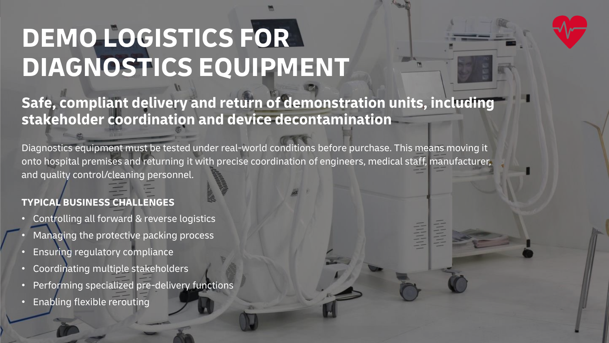# **DEMO LOGISTICS FOR DIAGNOSTICS EQUIPMENT**

## **Safe, compliant delivery and return of demonstration units, including stakeholder coordination and device decontamination**

Diagnostics equipment must be tested under real-world conditions before purchase. This means moving it onto hospital premises and returning it with precise coordination of engineers, medical staff, manufacturer, and quality control/cleaning personnel.

### **TYPICAL BUSINESS CHALLENGES**

- Controlling all forward & reverse logistics • Managing the protective packing process
- 
- Ensuring regulatory compliance
- Coordinating multiple stakeholders
- Performing specialized pre-delivery functions
- Enabling flexible rerouting